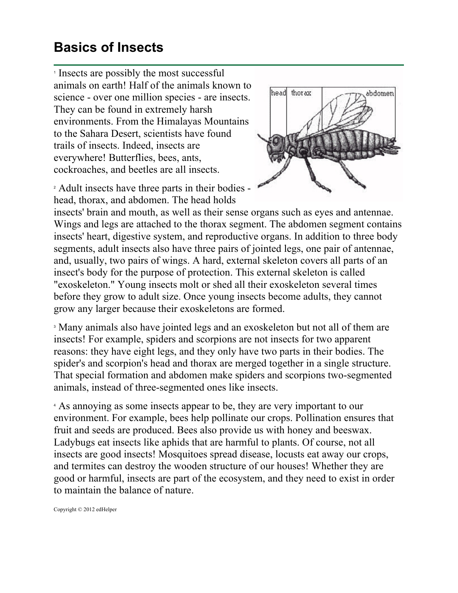## **Basics of Insects**

<sup>1</sup> Insects are possibly the most successful animals on earth! Half of the animals known to science - over one million species - are insects. They can be found in extremely harsh environments. From the Himalayas Mountains to the Sahara Desert, scientists have found trails of insects. Indeed, insects are everywhere! Butterflies, bees, ants, cockroaches, and beetles are all insects.

<sup>2</sup> Adult insects have three parts in their bodies head, thorax, and abdomen. The head holds



insects' brain and mouth, as well as their sense organs such as eyes and antennae. Wings and legs are attached to the thorax segment. The abdomen segment contains insects' heart, digestive system, and reproductive organs. In addition to three body segments, adult insects also have three pairs of jointed legs, one pair of antennae, and, usually, two pairs of wings. A hard, external skeleton covers all parts of an insect's body for the purpose of protection. This external skeleton is called "exoskeleton." Young insects molt or shed all their exoskeleton several times before they grow to adult size. Once young insects become adults, they cannot grow any larger because their exoskeletons are formed.

<sup>3</sup> Many animals also have jointed legs and an exoskeleton but not all of them are insects! For example, spiders and scorpions are not insects for two apparent reasons: they have eight legs, and they only have two parts in their bodies. The spider's and scorpion's head and thorax are merged together in a single structure. That special formation and abdomen make spiders and scorpions two-segmented animals, instead of three-segmented ones like insects.

<sup>4</sup> As annoying as some insects appear to be, they are very important to our environment. For example, bees help pollinate our crops. Pollination ensures that fruit and seeds are produced. Bees also provide us with honey and beeswax. Ladybugs eat insects like aphids that are harmful to plants. Of course, not all insects are good insects! Mosquitoes spread disease, locusts eat away our crops, and termites can destroy the wooden structure of our houses! Whether they are good or harmful, insects are part of the ecosystem, and they need to exist in order to maintain the balance of nature.

Copyright © 2012 edHelper